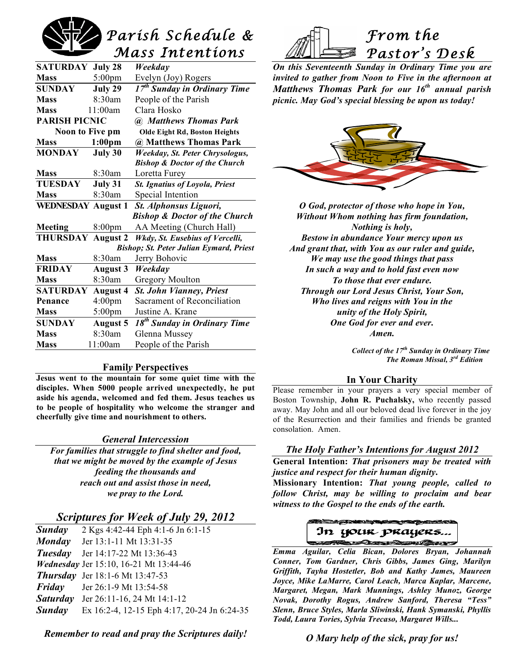

| <b>SATURDAY July 28</b>                  |                    | Weekday                                  |  |
|------------------------------------------|--------------------|------------------------------------------|--|
| <b>Mass</b>                              | $5:00 \text{pm}$   | Evelyn (Joy) Rogers                      |  |
| SUNDAY                                   | July 29            | $17^{th}$ Sunday in Ordinary Time        |  |
| <b>Mass</b>                              | 8:30am             | People of the Parish                     |  |
| <b>Mass</b>                              | 11:00am            | Clara Hosko                              |  |
| <b>PARISH PICNIC</b>                     |                    | <b>(a)</b> Matthews Thomas Park          |  |
| <b>Noon to Five pm</b>                   |                    | <b>Olde Eight Rd, Boston Heights</b>     |  |
| <b>Mass</b>                              | 1:00 <sub>pm</sub> | @ Matthews Thomas Park                   |  |
| <b>MONDAY</b>                            | July 30            | Weekday, St. Peter Chrysologus,          |  |
|                                          |                    | <b>Bishop &amp; Doctor of the Church</b> |  |
| <b>Mass</b>                              | 8:30am             | Loretta Furey                            |  |
| <b>TUESDAY</b>                           | July 31            | <b>St. Ignatius of Loyola, Priest</b>    |  |
| <b>Mass</b>                              | 8:30am             | Special Intention                        |  |
| <b>WEDNESDAY August 1</b>                |                    | St. Alphonsus Liguori,                   |  |
| <b>Bishop &amp; Doctor of the Church</b> |                    |                                          |  |
| Meeting                                  | 8:00 <sub>pm</sub> | AA Meeting (Church Hall)                 |  |
| <b>THURSDAY</b>                          | <b>August 2</b>    | Wkdy, St. Eusebius of Vercelli,          |  |
| Bishop; St. Peter Julian Eymard, Priest  |                    |                                          |  |
| <b>Mass</b>                              | 8:30am             | Jerry Bohovic                            |  |
| <b>FRIDAY</b>                            | <b>August 3</b>    | Weekday                                  |  |
| <b>Mass</b>                              | $8:30$ am          | <b>Gregory Moulton</b>                   |  |
| <b>SATURDAY</b>                          | <b>August 4</b>    | <b>St. John Vianney, Priest</b>          |  |
| Penance                                  | 4:00pm             | Sacrament of Reconciliation              |  |
| <b>Mass</b>                              | $5:00 \text{pm}$   | Justine A. Krane                         |  |
| <b>SUNDAY</b>                            | <b>August 5</b>    | 18 <sup>th</sup> Sunday in Ordinary Time |  |
| <b>Mass</b>                              | 8:30am             | Glenna Mussey                            |  |
| <b>Mass</b>                              | 11:00am            | People of the Parish                     |  |

#### **Famil***y* **Perspectives**

**Jesus went to the mountain for some quiet time with the disciples. When 5000 people arrived unexpectedly, he put aside his agenda, welcomed and fed them. Jesus teaches us to be people of hospitality who welcome the stranger and cheerfully give time and nourishment to others.**

#### *General Intercession*

*For families that struggle to find shelter and food, that we might be moved by the example of Jesus feeding the thousands and reach out and assist those in need, we pray to the Lord.*

### *Scriptures for Week of July 29, 2012*

| <b>Sunday</b> | 2 Kgs 4:42-44 Eph 4:1-6 Jn 6:1-15           |
|---------------|---------------------------------------------|
|               | <b>Monday</b> Jer 13:1-11 Mt 13:31-35       |
|               | <b>Tuesday</b> Jer 14:17-22 Mt 13:36-43     |
|               | Wednesday Jer 15:10, 16-21 Mt 13:44-46      |
|               | <b>Thursday</b> Jer 18:1-6 Mt 13:47-53      |
|               | <b>Friday</b> Jer 26:1-9 Mt 13:54-58        |
|               | <b>Saturday</b> Jer 26:11-16, 24 Mt 14:1-12 |
| Sunday        | Ex 16:2-4, 12-15 Eph 4:17, 20-24 Jn 6:24-35 |

*Remember to read and pray the Scriptures daily!*



*On this Seventeenth Sunday in Ordinary Time you are invited to gather from Noon to Five in the afternoon at Matthews Thomas Park for our 16th annual parish picnic. May God's special blessing be upon us today!*



*O God, protector of those who hope in You, Without Whom nothing has firm foundation, Nothing is holy, Bestow in abundance Your mercy upon us And grant that, with You as our ruler and guide, We may use the good things that pass In such a way and to hold fast even now To those that ever endure. Through our Lord Jesus Christ, Your Son, Who lives and reigns with You in the unity of the Holy Spirit, One God for ever and ever. Amen.*

> *Collect of the 17th Sunday in Ordinary Time The Roman Missal, 3rd Edition*

#### **In Your Charity**

Please remember in your prayers a very special member of Boston Township, **John R. Puchalsky,** who recently passed away. May John and all our beloved dead live forever in the joy of the Resurrection and their families and friends be granted consolation. Amen.

#### *The Holy Father's Intentions for August 2012*

**General Intention:** *That prisoners may be treated with justice and respect for their human dignity***.**

**Missionary Intention:** *That young people, called to follow Christ, may be willing to proclaim and bear witness to the Gospel to the ends of the earth.*



 *Emma Aguilar, Celia Bican, Dolores Bryan, Johannah Conner, Tom Gardner, Chris Gibbs, James Ging, Marilyn Griffith, Tayha Hostetler, Bob and Kathy James, Maureen Joyce, Mike LaMarre, Carol Leach, Marca Kaplar, Marcene, Margaret, Megan, Mark Munnings, Ashley Munoz, George Novak, Dorothy Rogus, Andrew Sanford, Theresa "Tess" Slenn, Bruce Styles, Marla Sliwinski, Hank Symanski, Phyllis Todd, Laura Tories, Sylvia Trecaso, Margaret Wills...*

#### *O Mary help of the sick, pray for us!*